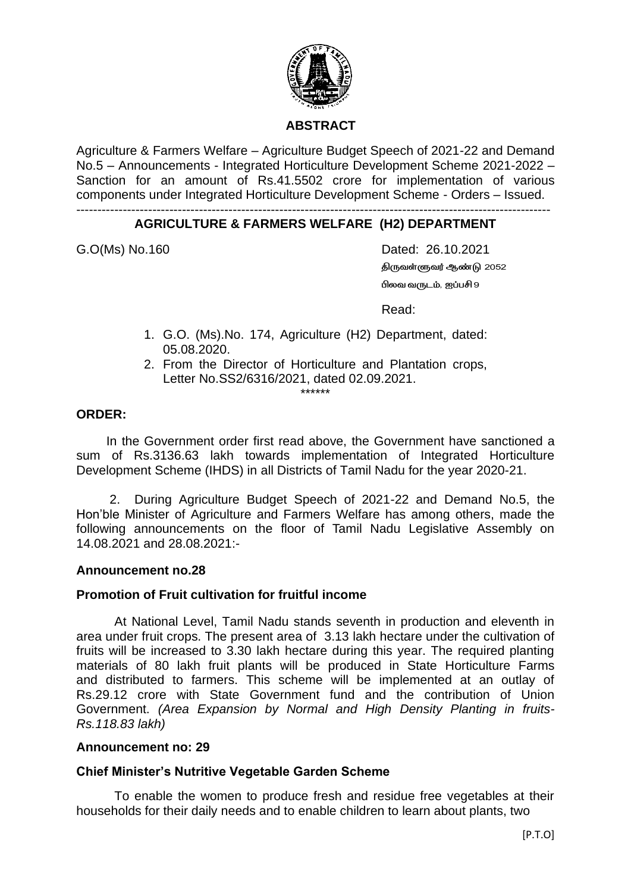

# **ABSTRACT**

Agriculture & Farmers Welfare – Agriculture Budget Speech of 2021-22 and Demand No.5 – Announcements - Integrated Horticulture Development Scheme 2021-2022 – Sanction for an amount of Rs.41.5502 crore for implementation of various components under Integrated Horticulture Development Scheme - Orders – Issued.

#### ---------------------------------------------------------------------------------------------------------------- **AGRICULTURE & FARMERS WELFARE (H2) DEPARTMENT**

G.O(Ms) No.160 **Dated: 26.10.2021** *திருவள்ளுவர் ஆண்டு 2052 பிலவ வருடம், ஐப்பசி 9*

Read:

- 1. G.O. (Ms).No. 174, Agriculture (H2) Department, dated: 05.08.2020.
- 2. From the Director of Horticulture and Plantation crops, Letter No.SS2/6316/2021, dated 02.09.2021.

\*\*\*\*\*\*

## **ORDER:**

In the Government order first read above, the Government have sanctioned a sum of Rs.3136.63 lakh towards implementation of Integrated Horticulture Development Scheme (IHDS) in all Districts of Tamil Nadu for the year 2020-21.

 2. During Agriculture Budget Speech of 2021-22 and Demand No.5, the Hon'ble Minister of Agriculture and Farmers Welfare has among others, made the following announcements on the floor of Tamil Nadu Legislative Assembly on 14.08.2021 and 28.08.2021:-

### **Announcement no.28**

### **Promotion of Fruit cultivation for fruitful income**

At National Level, Tamil Nadu stands seventh in production and eleventh in area under fruit crops. The present area of 3.13 lakh hectare under the cultivation of fruits will be increased to 3.30 lakh hectare during this year. The required planting materials of 80 lakh fruit plants will be produced in State Horticulture Farms and distributed to farmers. This scheme will be implemented at an outlay of Rs.29.12 crore with State Government fund and the contribution of Union Government. *(Area Expansion by Normal and High Density Planting in fruits-Rs.118.83 lakh)*

### **Announcement no: 29**

### **Chief Minister's Nutritive Vegetable Garden Scheme**

To enable the women to produce fresh and residue free vegetables at their households for their daily needs and to enable children to learn about plants, two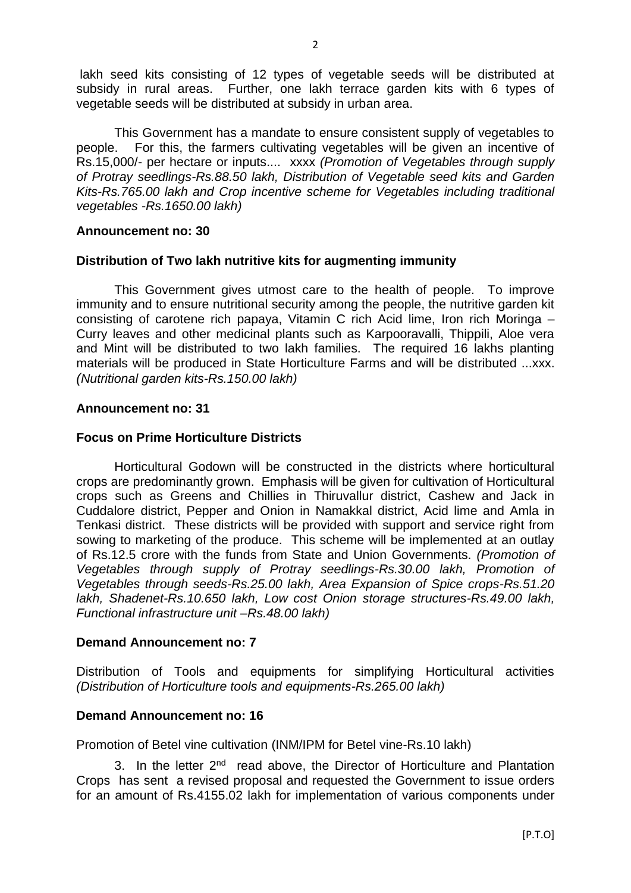lakh seed kits consisting of 12 types of vegetable seeds will be distributed at subsidy in rural areas. Further, one lakh terrace garden kits with 6 types of vegetable seeds will be distributed at subsidy in urban area.

This Government has a mandate to ensure consistent supply of vegetables to people. For this, the farmers cultivating vegetables will be given an incentive of Rs.15,000/- per hectare or inputs.... xxxx *(Promotion of Vegetables through supply of Protray seedlings-Rs.88.50 lakh, Distribution of Vegetable seed kits and Garden Kits-Rs.765.00 lakh and Crop incentive scheme for Vegetables including traditional vegetables -Rs.1650.00 lakh)*

### **Announcement no: 30**

## **Distribution of Two lakh nutritive kits for augmenting immunity**

This Government gives utmost care to the health of people. To improve immunity and to ensure nutritional security among the people, the nutritive garden kit consisting of carotene rich papaya, Vitamin C rich Acid lime, Iron rich Moringa – Curry leaves and other medicinal plants such as Karpooravalli, Thippili, Aloe vera and Mint will be distributed to two lakh families. The required 16 lakhs planting materials will be produced in State Horticulture Farms and will be distributed ...xxx. *(Nutritional garden kits-Rs.150.00 lakh)*

## **Announcement no: 31**

## **Focus on Prime Horticulture Districts**

Horticultural Godown will be constructed in the districts where horticultural crops are predominantly grown. Emphasis will be given for cultivation of Horticultural crops such as Greens and Chillies in Thiruvallur district, Cashew and Jack in Cuddalore district, Pepper and Onion in Namakkal district, Acid lime and Amla in Tenkasi district. These districts will be provided with support and service right from sowing to marketing of the produce. This scheme will be implemented at an outlay of Rs.12.5 crore with the funds from State and Union Governments. *(Promotion of Vegetables through supply of Protray seedlings-Rs.30.00 lakh, Promotion of Vegetables through seeds-Rs.25.00 lakh, Area Expansion of Spice crops-Rs.51.20 lakh, Shadenet-Rs.10.650 lakh, Low cost Onion storage structures-Rs.49.00 lakh, Functional infrastructure unit –Rs.48.00 lakh)*

## **Demand Announcement no: 7**

Distribution of Tools and equipments for simplifying Horticultural activities *(Distribution of Horticulture tools and equipments-Rs.265.00 lakh)*

### **Demand Announcement no: 16**

Promotion of Betel vine cultivation (INM/IPM for Betel vine-Rs.10 lakh)

3. In the letter 2<sup>nd</sup> read above, the Director of Horticulture and Plantation Crops has sent a revised proposal and requested the Government to issue orders for an amount of Rs.4155.02 lakh for implementation of various components under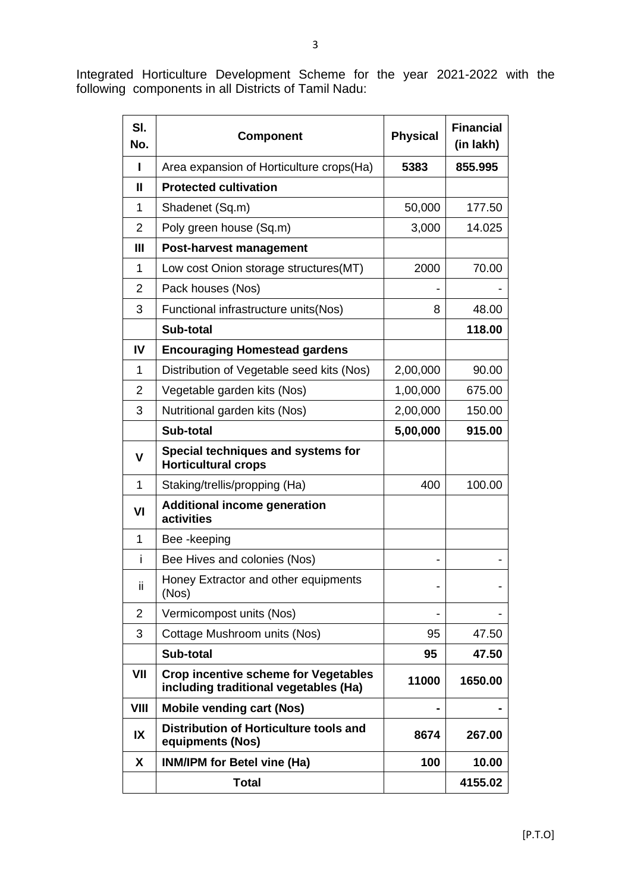Integrated Horticulture Development Scheme for the year 2021-2022 with the following components in all Districts of Tamil Nadu:

| SI.<br>No.     | <b>Physical</b><br><b>Component</b>                                                  |          | <b>Financial</b><br>(in lakh) |
|----------------|--------------------------------------------------------------------------------------|----------|-------------------------------|
| L              | Area expansion of Horticulture crops(Ha)                                             | 5383     | 855.995                       |
| Ш              | <b>Protected cultivation</b>                                                         |          |                               |
| 1              | Shadenet (Sq.m)                                                                      | 50,000   | 177.50                        |
| $\overline{2}$ | Poly green house (Sq.m)                                                              | 3,000    | 14.025                        |
| $\mathbf{III}$ | <b>Post-harvest management</b>                                                       |          |                               |
| 1              | Low cost Onion storage structures (MT)                                               | 2000     | 70.00                         |
| $\overline{2}$ | Pack houses (Nos)                                                                    |          |                               |
| 3              | Functional infrastructure units(Nos)                                                 | 8        | 48.00                         |
|                | Sub-total                                                                            |          | 118.00                        |
| IV             | <b>Encouraging Homestead gardens</b>                                                 |          |                               |
| 1              | Distribution of Vegetable seed kits (Nos)                                            | 2,00,000 | 90.00                         |
| $\overline{2}$ | Vegetable garden kits (Nos)                                                          | 1,00,000 | 675.00                        |
| 3              | Nutritional garden kits (Nos)                                                        | 2,00,000 | 150.00                        |
|                | Sub-total                                                                            | 5,00,000 | 915.00                        |
| V              | Special techniques and systems for<br><b>Horticultural crops</b>                     |          |                               |
| 1              | Staking/trellis/propping (Ha)                                                        | 400      | 100.00                        |
| VI             | <b>Additional income generation</b><br>activities                                    |          |                               |
| $\mathbf{1}$   | Bee-keeping                                                                          |          |                               |
| i              | Bee Hives and colonies (Nos)                                                         |          |                               |
| ii             | Honey Extractor and other equipments<br>(Nos)                                        |          |                               |
| $\overline{2}$ | Vermicompost units (Nos)                                                             |          |                               |
| 3              | Cottage Mushroom units (Nos)                                                         | 95       | 47.50                         |
|                | Sub-total                                                                            | 95       | 47.50                         |
| VII            | <b>Crop incentive scheme for Vegetables</b><br>including traditional vegetables (Ha) | 11000    | 1650.00                       |
| VIII           | <b>Mobile vending cart (Nos)</b>                                                     |          |                               |
| IX             | Distribution of Horticulture tools and<br>equipments (Nos)                           | 8674     | 267.00                        |
| X              | <b>INM/IPM for Betel vine (Ha)</b>                                                   | 100      | 10.00                         |
|                | <b>Total</b>                                                                         |          | 4155.02                       |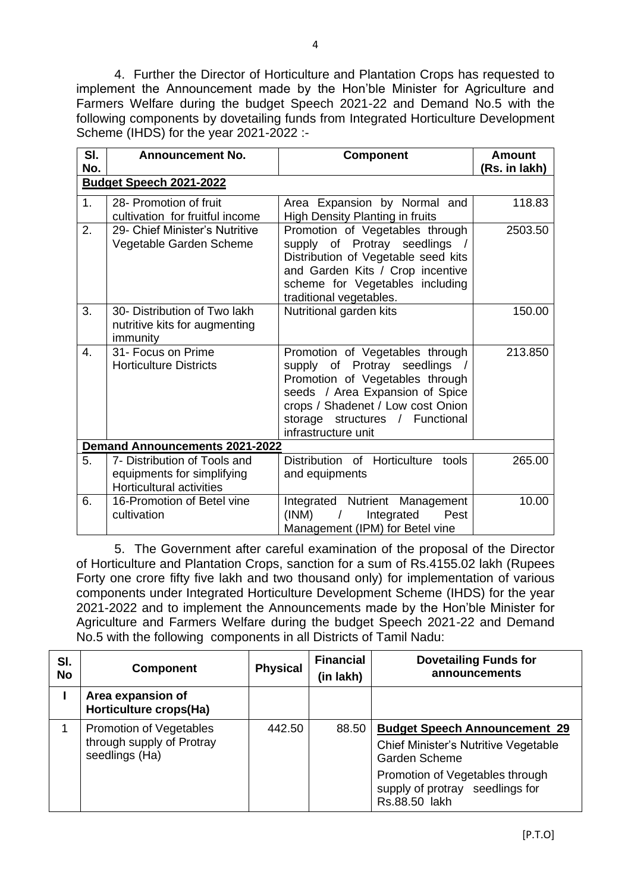4. Further the Director of Horticulture and Plantation Crops has requested to implement the Announcement made by the Hon'ble Minister for Agriculture and Farmers Welfare during the budget Speech 2021-22 and Demand No.5 with the following components by dovetailing funds from Integrated Horticulture Development Scheme (IHDS) for the year 2021-2022 :-

| SI.            | <b>Announcement No.</b>                                                                       | <b>Component</b>                                                                                                                                                                                                                    | <b>Amount</b> |  |  |  |
|----------------|-----------------------------------------------------------------------------------------------|-------------------------------------------------------------------------------------------------------------------------------------------------------------------------------------------------------------------------------------|---------------|--|--|--|
| No.            |                                                                                               |                                                                                                                                                                                                                                     | (Rs. in lakh) |  |  |  |
|                | Budget Speech 2021-2022                                                                       |                                                                                                                                                                                                                                     |               |  |  |  |
| 1 <sub>1</sub> | 28- Promotion of fruit<br>cultivation for fruitful income                                     | Area Expansion by Normal and<br><b>High Density Planting in fruits</b>                                                                                                                                                              | 118.83        |  |  |  |
| 2.             | 29- Chief Minister's Nutritive<br>Vegetable Garden Scheme                                     | Promotion of Vegetables through<br>supply of Protray seedlings /<br>Distribution of Vegetable seed kits<br>and Garden Kits / Crop incentive<br>scheme for Vegetables including<br>traditional vegetables.                           | 2503.50       |  |  |  |
| 3.             | 30- Distribution of Two lakh<br>nutritive kits for augmenting<br>immunity                     | Nutritional garden kits                                                                                                                                                                                                             | 150.00        |  |  |  |
| $\mathbf{4}$ . | 31- Focus on Prime<br><b>Horticulture Districts</b>                                           | Promotion of Vegetables through<br>supply of Protray seedlings<br>Promotion of Vegetables through<br>seeds / Area Expansion of Spice<br>crops / Shadenet / Low cost Onion<br>storage structures / Functional<br>infrastructure unit | 213.850       |  |  |  |
|                | <b>Demand Announcements 2021-2022</b>                                                         |                                                                                                                                                                                                                                     |               |  |  |  |
| 5.             | 7- Distribution of Tools and<br>equipments for simplifying<br><b>Horticultural activities</b> | Distribution of Horticulture tools<br>and equipments                                                                                                                                                                                | 265.00        |  |  |  |
| 6.             | 16-Promotion of Betel vine<br>cultivation                                                     | Integrated Nutrient Management<br>(INM)<br>Integrated<br>Pest<br>$\frac{1}{2}$<br>Management (IPM) for Betel vine                                                                                                                   | 10.00         |  |  |  |

5. The Government after careful examination of the proposal of the Director of Horticulture and Plantation Crops, sanction for a sum of Rs.4155.02 lakh (Rupees Forty one crore fifty five lakh and two thousand only) for implementation of various components under Integrated Horticulture Development Scheme (IHDS) for the year 2021-2022 and to implement the Announcements made by the Hon'ble Minister for Agriculture and Farmers Welfare during the budget Speech 2021-22 and Demand No.5 with the following components in all Districts of Tamil Nadu:

| SI.<br><b>No</b> | <b>Component</b>                                                              | <b>Physical</b> | <b>Financial</b><br>(in lakh) | <b>Dovetailing Funds for</b><br>announcements                                                                                                                                               |
|------------------|-------------------------------------------------------------------------------|-----------------|-------------------------------|---------------------------------------------------------------------------------------------------------------------------------------------------------------------------------------------|
|                  | Area expansion of<br>Horticulture crops(Ha)                                   |                 |                               |                                                                                                                                                                                             |
|                  | <b>Promotion of Vegetables</b><br>through supply of Protray<br>seedlings (Ha) | 442.50          | 88.50                         | <b>Budget Speech Announcement 29</b><br><b>Chief Minister's Nutritive Vegetable</b><br>Garden Scheme<br>Promotion of Vegetables through<br>supply of protray seedlings for<br>Rs.88.50 lakh |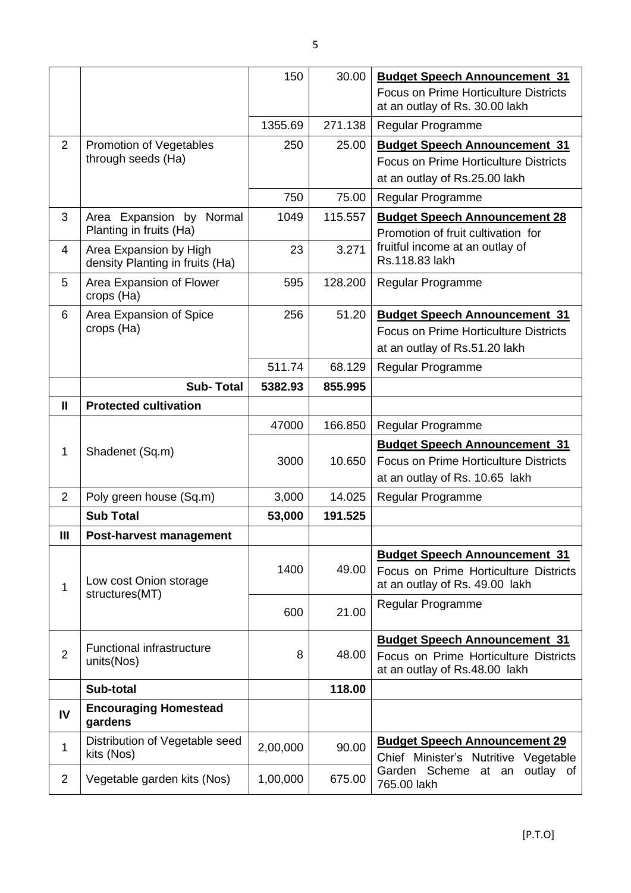|                |                                                           | 150      | 30.00   | <b>Budget Speech Announcement 31</b>                                                                                   |
|----------------|-----------------------------------------------------------|----------|---------|------------------------------------------------------------------------------------------------------------------------|
|                |                                                           |          |         | <b>Focus on Prime Horticulture Districts</b><br>at an outlay of Rs. 30.00 lakh                                         |
|                |                                                           | 1355.69  | 271.138 | Regular Programme                                                                                                      |
| $\overline{2}$ | <b>Promotion of Vegetables</b><br>through seeds (Ha)      | 250      | 25.00   | <b>Budget Speech Announcement 31</b><br><b>Focus on Prime Horticulture Districts</b><br>at an outlay of Rs.25.00 lakh  |
|                |                                                           | 750      | 75.00   | Regular Programme                                                                                                      |
| 3              | Area Expansion by Normal<br>Planting in fruits (Ha)       | 1049     | 115.557 | <b>Budget Speech Announcement 28</b><br>Promotion of fruit cultivation for                                             |
| $\overline{4}$ | Area Expansion by High<br>density Planting in fruits (Ha) | 23       | 3.271   | fruitful income at an outlay of<br>Rs.118.83 lakh                                                                      |
| 5              | Area Expansion of Flower<br>crops (Ha)                    | 595      | 128.200 | Regular Programme                                                                                                      |
| 6              | Area Expansion of Spice<br>crops (Ha)                     | 256      | 51.20   | <b>Budget Speech Announcement 31</b><br><b>Focus on Prime Horticulture Districts</b><br>at an outlay of Rs.51.20 lakh  |
|                |                                                           | 511.74   | 68.129  | Regular Programme                                                                                                      |
|                | <b>Sub-Total</b>                                          | 5382.93  | 855.995 |                                                                                                                        |
| $\mathbf{II}$  | <b>Protected cultivation</b>                              |          |         |                                                                                                                        |
|                |                                                           | 47000    | 166.850 | Regular Programme                                                                                                      |
| $\mathbf{1}$   | Shadenet (Sq.m)                                           | 3000     | 10.650  | <b>Budget Speech Announcement 31</b><br><b>Focus on Prime Horticulture Districts</b><br>at an outlay of Rs. 10.65 lakh |
| 2              | Poly green house (Sq.m)                                   | 3,000    | 14.025  | Regular Programme                                                                                                      |
|                | <b>Sub Total</b>                                          | 53,000   | 191.525 |                                                                                                                        |
| Ш              | Post-harvest management                                   |          |         |                                                                                                                        |
| 1              | Low cost Onion storage<br>structures(MT)                  | 1400     | 49.00   | <b>Budget Speech Announcement 31</b><br>Focus on Prime Horticulture Districts<br>at an outlay of Rs. 49.00 lakh        |
|                |                                                           | 600      | 21.00   | Regular Programme                                                                                                      |
|                | <b>Functional infrastructure</b>                          |          |         | <b>Budget Speech Announcement 31</b>                                                                                   |
| $\overline{2}$ | units(Nos)                                                | 8        | 48.00   | Focus on Prime Horticulture Districts<br>at an outlay of Rs.48.00 lakh                                                 |
|                | Sub-total                                                 |          | 118.00  |                                                                                                                        |
| IV             | <b>Encouraging Homestead</b><br>gardens                   |          |         |                                                                                                                        |
| 1              | Distribution of Vegetable seed<br>kits (Nos)              | 2,00,000 | 90.00   | <b>Budget Speech Announcement 29</b><br>Chief Minister's Nutritive Vegetable                                           |
| $\overline{2}$ | Vegetable garden kits (Nos)                               | 1,00,000 | 675.00  | Garden Scheme at an outlay of<br>765.00 lakh                                                                           |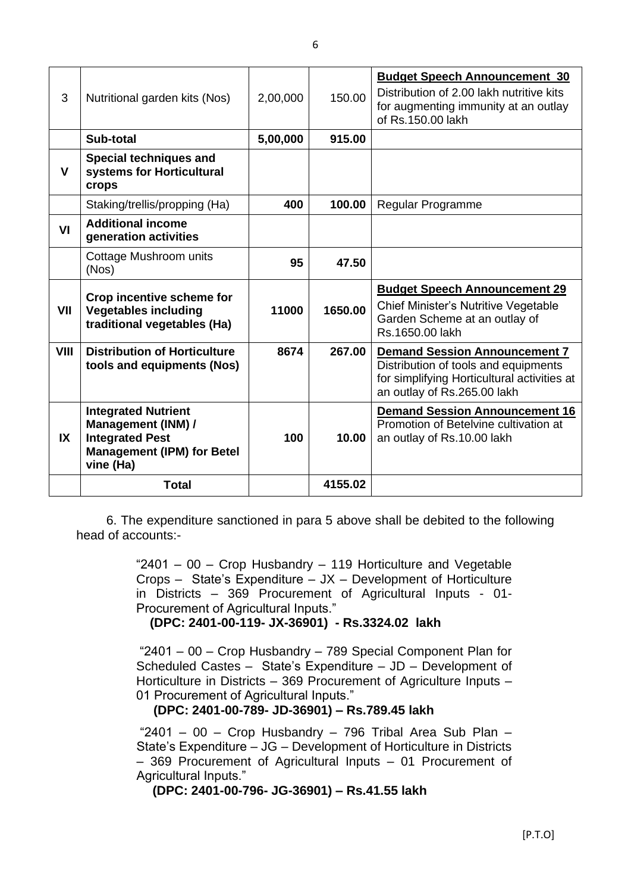| 3           | Nutritional garden kits (Nos)                                                                         | 2,00,000 | 150.00  | <b>Budget Speech Announcement 30</b><br>Distribution of 2.00 lakh nutritive kits<br>for augmenting immunity at an outlay<br>of Rs.150.00 lakh              |
|-------------|-------------------------------------------------------------------------------------------------------|----------|---------|------------------------------------------------------------------------------------------------------------------------------------------------------------|
|             | Sub-total                                                                                             | 5,00,000 | 915.00  |                                                                                                                                                            |
| V           | <b>Special techniques and</b><br>systems for Horticultural<br>crops                                   |          |         |                                                                                                                                                            |
|             | Staking/trellis/propping (Ha)                                                                         | 400      | 100.00  | Regular Programme                                                                                                                                          |
| VI          | <b>Additional income</b><br>generation activities                                                     |          |         |                                                                                                                                                            |
|             | Cottage Mushroom units<br>(Nos)                                                                       | 95       | 47.50   |                                                                                                                                                            |
| VII         | Crop incentive scheme for<br><b>Vegetables including</b><br>traditional vegetables (Ha)               | 11000    | 1650.00 | <b>Budget Speech Announcement 29</b><br>Chief Minister's Nutritive Vegetable<br>Garden Scheme at an outlay of<br>Rs.1650.00 lakh                           |
| <b>VIII</b> | <b>Distribution of Horticulture</b><br>tools and equipments (Nos)                                     | 8674     | 267.00  | <b>Demand Session Announcement 7</b><br>Distribution of tools and equipments<br>for simplifying Horticultural activities at<br>an outlay of Rs.265.00 lakh |
|             | <b>Integrated Nutrient</b>                                                                            |          |         | <b>Demand Session Announcement 16</b>                                                                                                                      |
| IX          | <b>Management (INM) /</b><br><b>Integrated Pest</b><br><b>Management (IPM) for Betel</b><br>vine (Ha) | 100      | 10.00   | Promotion of Betelvine cultivation at<br>an outlay of Rs.10.00 lakh                                                                                        |

6. The expenditure sanctioned in para 5 above shall be debited to the following head of accounts:-

> "2401 – 00 – Crop Husbandry – 119 Horticulture and Vegetable Crops – State's Expenditure – JX – Development of Horticulture in Districts – 369 Procurement of Agricultural Inputs - 01- Procurement of Agricultural Inputs."

 **(DPC: 2401-00-119- JX-36901) - Rs.3324.02 lakh** 

"2401 – 00 – Crop Husbandry – 789 Special Component Plan for Scheduled Castes – State's Expenditure – JD – Development of Horticulture in Districts – 369 Procurement of Agriculture Inputs – 01 Procurement of Agricultural Inputs."

## **(DPC: 2401-00-789- JD-36901) – Rs.789.45 lakh**

"2401 – 00 – Crop Husbandry – 796 Tribal Area Sub Plan – State's Expenditure – JG – Development of Horticulture in Districts – 369 Procurement of Agricultural Inputs – 01 Procurement of Agricultural Inputs."

### **(DPC: 2401-00-796- JG-36901) – Rs.41.55 lakh**